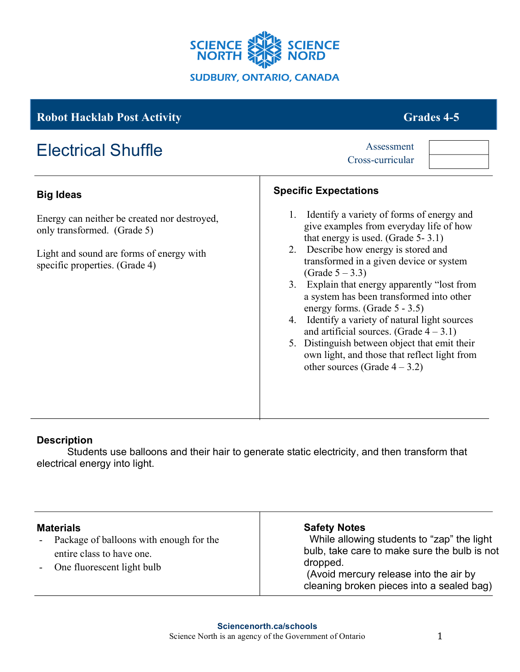

## **Robot Hacklab Post Activity Grades 4-5**

Energy can neither be created nor destroyed,

Light and sound are forms of energy with

# Electrical Shuffle Assessment

only transformed. (Grade 5)

specific properties. (Grade 4)

**Big Ideas**

|    | 1. Identify a variety of forms of energy and<br>give examples from everyday life of how                                       |
|----|-------------------------------------------------------------------------------------------------------------------------------|
|    | that energy is used. (Grade $5-3.1$ )<br>2. Describe how energy is stored and<br>transformed in a given device or system      |
|    | (Grade $5 - 3.3$ )<br>3. Explain that energy apparently "lost from<br>a system has been transformed into other                |
| 4. | energy forms. (Grade $5 - 3.5$ )<br>Identify a variety of natural light sources<br>and artificial sources. (Grade $4 - 3.1$ ) |
| 5. | Distinguish between object that emit their<br>own light, and those that reflect light from<br>other sources (Grade $4-3.2$ )  |

#### **Description**

Students use balloons and their hair to generate static electricity, and then transform that electrical energy into light.

| <b>Materials</b>                                                       | <b>Safety Notes</b><br>While allowing students to "zap" the light                               |
|------------------------------------------------------------------------|-------------------------------------------------------------------------------------------------|
| - Package of balloons with enough for the<br>entire class to have one. | bulb, take care to make sure the bulb is not                                                    |
| One fluorescent light bulb                                             | dropped.<br>(Avoid mercury release into the air by<br>cleaning broken pieces into a sealed bag) |

Cross-curricular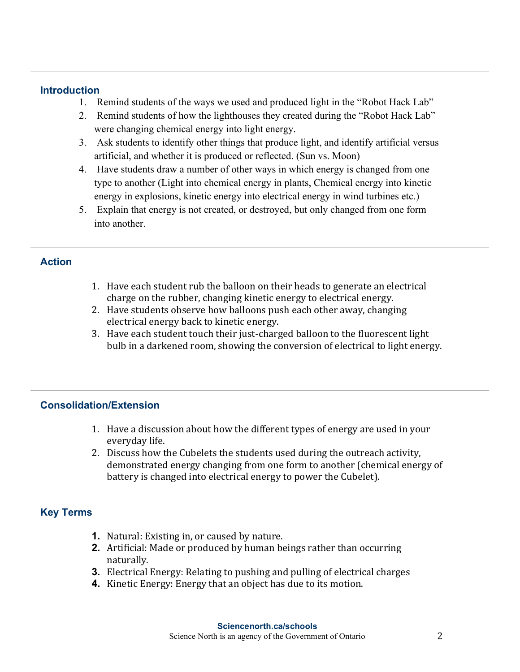#### **Introduction**

- 1. Remind students of the ways we used and produced light in the "Robot Hack Lab"
- 2. Remind students of how the lighthouses they created during the "Robot Hack Lab" were changing chemical energy into light energy.
- 3. Ask students to identify other things that produce light, and identify artificial versus artificial, and whether it is produced or reflected. (Sun vs. Moon)
- 4. Have students draw a number of other ways in which energy is changed from one type to another (Light into chemical energy in plants, Chemical energy into kinetic energy in explosions, kinetic energy into electrical energy in wind turbines etc.)
- 5. Explain that energy is not created, or destroyed, but only changed from one form into another.

#### **Action**

- 1. Have each student rub the balloon on their heads to generate an electrical charge on the rubber, changing kinetic energy to electrical energy.
- 2. Have students observe how balloons push each other away, changing electrical energy back to kinetic energy.
- 3. Have each student touch their just-charged balloon to the fluorescent light bulb in a darkened room, showing the conversion of electrical to light energy.

### **Consolidation/Extension**

- 1. Have a discussion about how the different types of energy are used in your everyday life.
- 2. Discuss how the Cubelets the students used during the outreach activity, demonstrated energy changing from one form to another (chemical energy of battery is changed into electrical energy to power the Cubelet).

### **Key Terms**

- **1.** Natural: Existing in, or caused by nature.
- **2.** Artificial: Made or produced by human beings rather than occurring naturally.
- **3.** Electrical Energy: Relating to pushing and pulling of electrical charges
- **4.** Kinetic Energy: Energy that an object has due to its motion.